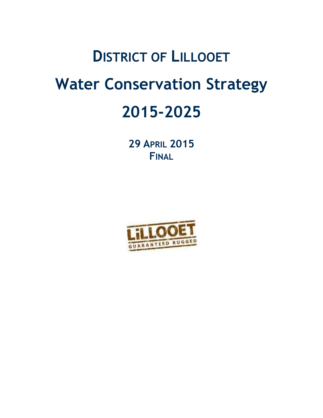# **DISTRICT OF LILLOOET Water Conservation Strategy 2015-2025**

**29 APRIL 2015 FINAL**

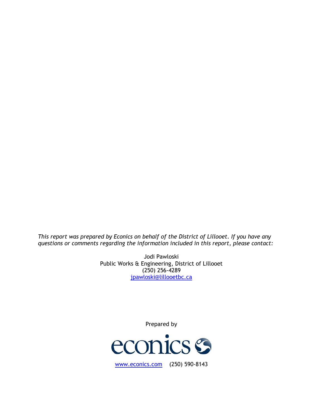*This report was prepared by Econics on behalf of the District of Lillooet. If you have any questions or comments regarding the information included in this report, please contact:*

> Jodi Pawloski Public Works & Engineering, District of Lillooet (250) 256-4289 [jpawloski@lillooetbc.ca](mailto:bng@coquitlam.ca)

> > Prepared by

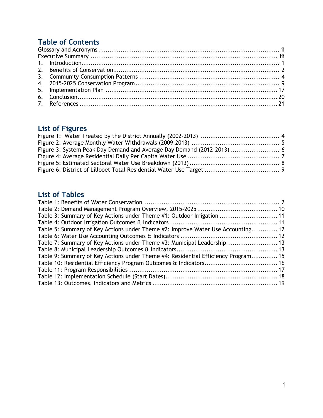# **Table of Contents**

# **List of Figures**

# **List of Tables**

| Table 3: Summary of Key Actions under Theme #1: Outdoor Irrigation  11            |  |
|-----------------------------------------------------------------------------------|--|
|                                                                                   |  |
| Table 5: Summary of Key Actions under Theme #2: Improve Water Use Accounting 12   |  |
|                                                                                   |  |
| Table 7: Summary of Key Actions under Theme #3: Municipal Leadership  13          |  |
|                                                                                   |  |
| Table 9: Summary of Key Actions under Theme #4: Residential Efficiency Program 15 |  |
|                                                                                   |  |
|                                                                                   |  |
|                                                                                   |  |
|                                                                                   |  |
|                                                                                   |  |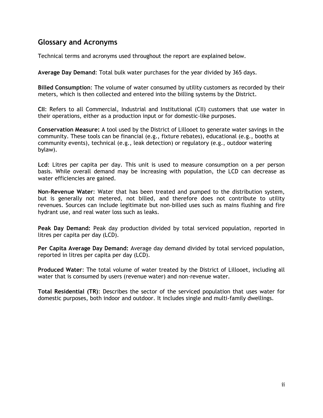# <span id="page-3-0"></span>**Glossary and Acronyms**

Technical terms and acronyms used throughout the report are explained below.

**Average Day Demand**: Total bulk water purchases for the year divided by 365 days.

**Billed Consumption**: The volume of water consumed by utility customers as recorded by their meters, which is then collected and entered into the billing systems by the District.

**CII**: Refers to all Commercial, Industrial and Institutional (CII) customers that use water in their operations, either as a production input or for domestic-like purposes.

**Conservation Measure:** A tool used by the District of Lillooet to generate water savings in the community. These tools can be financial (e.g., fixture rebates), educational (e.g., booths at community events), technical (e.g., leak detection) or regulatory (e.g., outdoor watering bylaw).

**Lcd**: Litres per capita per day. This unit is used to measure consumption on a per person basis. While overall demand may be increasing with population, the LCD can decrease as water efficiencies are gained.

**Non-Revenue Water**: Water that has been treated and pumped to the distribution system, but is generally not metered, not billed, and therefore does not contribute to utility revenues. Sources can include legitimate but non-billed uses such as mains flushing and fire hydrant use, and real water loss such as leaks.

**Peak Day Demand:** Peak day production divided by total serviced population, reported in litres per capita per day (LCD).

**Per Capita Average Day Demand:** Average day demand divided by total serviced population, reported in litres per capita per day (LCD).

**Produced Water**: The total volume of water treated by the District of Lillooet, including all water that is consumed by users (revenue water) and non-revenue water.

**Total Residential (TR)**: Describes the sector of the serviced population that uses water for domestic purposes, both indoor and outdoor. It includes single and multi-family dwellings.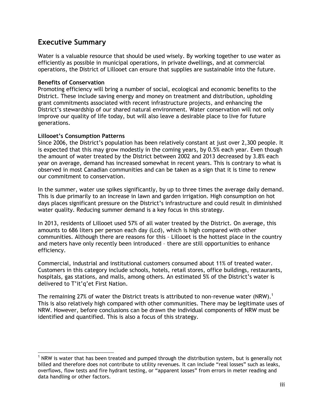# <span id="page-4-0"></span>**Executive Summary**

Water is a valuable resource that should be used wisely. By working together to use water as efficiently as possible in municipal operations, in private dwellings, and at commercial operations, the District of Lillooet can ensure that supplies are sustainable into the future.

#### **Benefits of Conservation**

Promoting efficiency will bring a number of social, ecological and economic benefits to the District. These include saving energy and money on treatment and distribution, upholding grant commitments associated with recent infrastructure projects, and enhancing the District's stewardship of our shared natural environment. Water conservation will not only improve our quality of life today, but will also leave a desirable place to live for future generations.

#### **Lillooet's Consumption Patterns**

Since 2006, the District's population has been relatively constant at just over 2,300 people. It is expected that this may grow modestly in the coming years, by 0.5% each year. Even though the amount of water treated by the District between 2002 and 2013 decreased by 3.8% each year on average, demand has increased somewhat in recent years. This is contrary to what is observed in most Canadian communities and can be taken as a sign that it is time to renew our commitment to conservation.

In the summer, water use spikes significantly, by up to three times the average daily demand. This is due primarily to an increase in lawn and garden irrigation. High consumption on hot days places significant pressure on the District's infrastructure and could result in diminished water quality. Reducing summer demand is a key focus in this strategy.

In 2013, residents of Lillooet used 57% of all water treated by the District. On average, this amounts to 686 liters per person each day (Lcd), which is high compared with other communities. Although there are reasons for this – Lillooet is the hottest place in the country and meters have only recently been introduced – there are still opportunities to enhance efficiency.

Commercial, industrial and institutional customers consumed about 11% of treated water. Customers in this category include schools, hotels, retail stores, office buildings, restaurants, hospitals, gas stations, and malls, among others. An estimated 5% of the District's water is delivered to T'it'q'et First Nation.

The remaining 27% of water the District treats is attributed to non-revenue water (NRW).<sup>1</sup> This is also relatively high compared with other communities. There may be legitimate uses of NRW. However, before conclusions can be drawn the individual components of NRW must be identified and quantified. This is also a focus of this strategy.

 $<sup>1</sup>$  NRW is water that has been treated and pumped through the distribution system, but is generally not</sup> billed and therefore does not contribute to utility revenues. It can include "real losses" such as leaks, overflows, flow tests and fire hydrant testing, or "apparent losses" from errors in meter reading and data handling or other factors.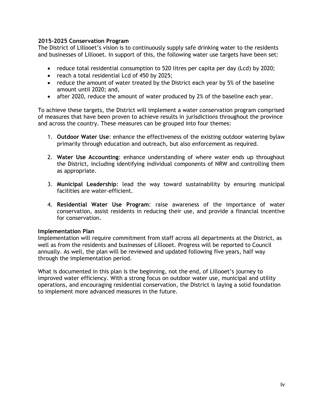#### **2015-2025 Conservation Program**

The District of Lillooet's vision is to continuously supply safe drinking water to the residents and businesses of Lillooet. In support of this, the following water use targets have been set:

- reduce total residential consumption to 520 litres per capita per day (Lcd) by 2020;
- reach a total residential Lcd of 450 by 2025;
- reduce the amount of water treated by the District each year by 5% of the baseline amount until 2020; and,
- after 2020, reduce the amount of water produced by 2% of the baseline each year.

To achieve these targets, the District will implement a water conservation program comprised of measures that have been proven to achieve results in jurisdictions throughout the province and across the country. These measures can be grouped into four themes:

- 1. **Outdoor Water Use**: enhance the effectiveness of the existing outdoor watering bylaw primarily through education and outreach, but also enforcement as required.
- 2. **Water Use Accounting**: enhance understanding of where water ends up throughout the District, including identifying individual components of NRW and controlling them as appropriate.
- 3. **Municipal Leadership**: lead the way toward sustainability by ensuring municipal facilities are water-efficient.
- 4. **Residential Water Use Program**: raise awareness of the importance of water conservation, assist residents in reducing their use, and provide a financial incentive for conservation.

#### **Implementation Plan**

Implementation will require commitment from staff across all departments at the District, as well as from the residents and businesses of Lillooet. Progress will be reported to Council annually. As well, the plan will be reviewed and updated following five years, half way through the implementation period.

What is documented in this plan is the beginning, not the end, of Lillooet's journey to improved water efficiency. With a strong focus on outdoor water use, municipal and utility operations, and encouraging residential conservation, the District is laying a solid foundation to implement more advanced measures in the future.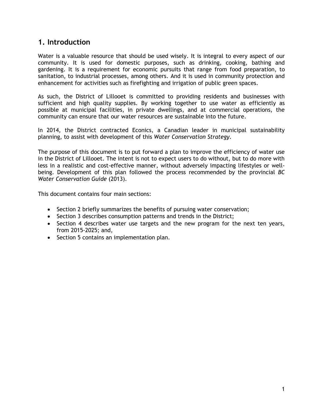# <span id="page-6-0"></span>**1. Introduction**

Water is a valuable resource that should be used wisely. It is integral to every aspect of our community. It is used for domestic purposes, such as drinking, cooking, bathing and gardening. It is a requirement for economic pursuits that range from food preparation, to sanitation, to industrial processes, among others. And it is used in community protection and enhancement for activities such as firefighting and irrigation of public green spaces.

As such, the District of Lillooet is committed to providing residents and businesses with sufficient and high quality supplies. By working together to use water as efficiently as possible at municipal facilities, in private dwellings, and at commercial operations, the community can ensure that our water resources are sustainable into the future.

In 2014, the District contracted Econics, a Canadian leader in municipal sustainability planning, to assist with development of this *Water Conservation Strategy*.

The purpose of this document is to put forward a plan to improve the efficiency of water use in the District of Lillooet. The intent is not to expect users to do without, but to do more with less in a realistic and cost-effective manner, without adversely impacting lifestyles or wellbeing. Development of this plan followed the process recommended by the provincial *BC Water Conservation Guide* (2013).

This document contains four main sections:

- Section 2 briefly summarizes the benefits of pursuing water conservation;
- Section 3 describes consumption patterns and trends in the District;
- Section 4 describes water use targets and the new program for the next ten years, from 2015-2025; and,
- Section 5 contains an implementation plan.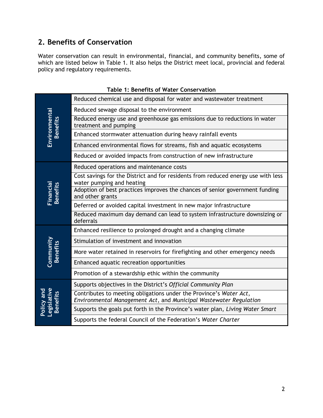# <span id="page-7-0"></span>**2. Benefits of Conservation**

Water conservation can result in environmental, financial, and community benefits, some of which are listed below in Table 1. It also helps the District meet local, provincial and federal policy and regulatory requirements.

<span id="page-7-1"></span>

|                                       | Reduced chemical use and disposal for water and wastewater treatment                                                                    |
|---------------------------------------|-----------------------------------------------------------------------------------------------------------------------------------------|
|                                       | Reduced sewage disposal to the environment                                                                                              |
| Environmental<br><b>Benefits</b>      | Reduced energy use and greenhouse gas emissions due to reductions in water<br>treatment and pumping                                     |
|                                       | Enhanced stormwater attenuation during heavy rainfall events                                                                            |
|                                       | Enhanced environmental flows for streams, fish and aquatic ecosystems                                                                   |
|                                       | Reduced or avoided impacts from construction of new infrastructure                                                                      |
|                                       | Reduced operations and maintenance costs                                                                                                |
|                                       | Cost savings for the District and for residents from reduced energy use with less<br>water pumping and heating                          |
| <b>Financial</b><br>Benefits          | Adoption of best practices improves the chances of senior government funding<br>and other grants                                        |
|                                       | Deferred or avoided capital investment in new major infrastructure                                                                      |
|                                       | Reduced maximum day demand can lead to system infrastructure downsizing or<br>deferrals                                                 |
|                                       | Enhanced resilience to prolonged drought and a changing climate                                                                         |
|                                       | Stimulation of investment and innovation                                                                                                |
| Community<br><b>Benefits</b>          | More water retained in reservoirs for firefighting and other emergency needs                                                            |
|                                       | Enhanced aquatic recreation opportunities                                                                                               |
|                                       | Promotion of a stewardship ethic within the community                                                                                   |
|                                       | Supports objectives in the District's Official Community Plan                                                                           |
| Policy and<br>Legislative<br>Benefits | Contributes to meeting obligations under the Province's Water Act,<br>Environmental Management Act, and Municipal Wastewater Regulation |
|                                       | Supports the goals put forth in the Province's water plan, Living Water Smart                                                           |
|                                       | Supports the federal Council of the Federation's Water Charter                                                                          |

#### **Table 1: Benefits of Water Conservation**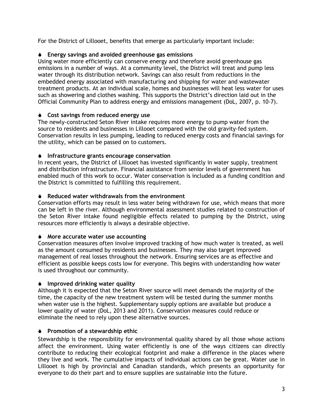For the District of Lillooet, benefits that emerge as particularly important include:

#### **Energy savings and avoided greenhouse gas emissions**

Using water more efficiently can conserve energy and therefore avoid greenhouse gas emissions in a number of ways. At a community level, the District will treat and pump less water through its distribution network. Savings can also result from reductions in the embedded energy associated with manufacturing and shipping for water and wastewater treatment products. At an individual scale, homes and businesses will heat less water for uses such as showering and clothes washing. This supports the District's direction laid out in the Official Community Plan to address energy and emissions management (DoL, 2007, p. 10-7).

#### **Cost savings from reduced energy use**

The newly-constructed Seton River intake requires more energy to pump water from the source to residents and businesses in Lillooet compared with the old gravity-fed system. Conservation results in less pumping, leading to reduced energy costs and financial savings for the utility, which can be passed on to customers.

#### **Infrastructure grants encourage conservation**

In recent years, the District of Lillooet has invested significantly in water supply, treatment and distribution infrastructure. Financial assistance from senior levels of government has enabled much of this work to occur. Water conservation is included as a funding condition and the District is committed to fulfilling this requirement.

#### **Reduced water withdrawals from the environment**

Conservation efforts may result in less water being withdrawn for use, which means that more can be left in the river. Although environmental assessment studies related to construction of the Seton River intake found negligible effects related to pumping by the District, using resources more efficiently is always a desirable objective.

#### **More accurate water use accounting**

Conservation measures often involve improved tracking of how much water is treated, as well as the amount consumed by residents and businesses. They may also target improved management of real losses throughout the network. Ensuring services are as effective and efficient as possible keeps costs low for everyone. This begins with understanding how water is used throughout our community.

#### **Improved drinking water quality**

Although it is expected that the Seton River source will meet demands the majority of the time, the capacity of the new treatment system will be tested during the summer months when water use is the highest. Supplementary supply options are available but produce a lower quality of water (DoL, 2013 and 2011). Conservation measures could reduce or eliminate the need to rely upon these alternative sources.

#### **Promotion of a stewardship ethic**

Stewardship is the responsibility for environmental quality shared by all those whose actions affect the environment. Using water efficiently is one of the ways citizens can directly contribute to reducing their ecological footprint and make a difference in the places where they live and work. The cumulative impacts of individual actions can be great. Water use in Lillooet is high by provincial and Canadian standards, which presents an opportunity for everyone to do their part and to ensure supplies are sustainable into the future.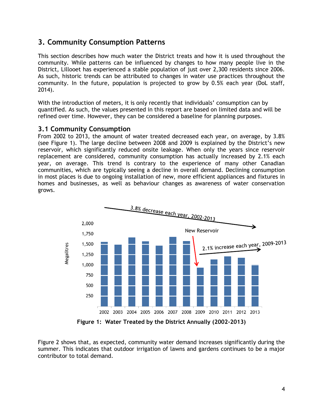# <span id="page-9-0"></span>**3. Community Consumption Patterns**

This section describes how much water the District treats and how it is used throughout the community. While patterns can be influenced by changes to how many people live in the District, Lillooet has experienced a stable population of just over 2,300 residents since 2006. As such, historic trends can be attributed to changes in water use practices throughout the community. In the future, population is projected to grow by 0.5% each year (DoL staff, 2014).

With the introduction of meters, it is only recently that individuals' consumption can by quantified. As such, the values presented in this report are based on limited data and will be refined over time. However, they can be considered a baseline for planning purposes.

#### **3.1 Community Consumption**

From 2002 to 2013, the amount of water treated decreased each year, on average, by 3.8% (see Figure 1). The large decline between 2008 and 2009 is explained by the District's new reservoir, which significantly reduced onsite leakage. When only the years since reservoir replacement are considered, community consumption has actually increased by 2.1% each year, on average. This trend is contrary to the experience of many other Canadian communities, which are typically seeing a decline in overall demand. Declining consumption in most places is due to ongoing installation of new, more efficient appliances and fixtures in homes and businesses, as well as behaviour changes as awareness of water conservation grows.



**Figure 1: Water Treated by the District Annually (2002-2013)**

<span id="page-9-1"></span>Figure 2 shows that, as expected, community water demand increases significantly during the summer. This indicates that outdoor irrigation of lawns and gardens continues to be a major contributor to total demand.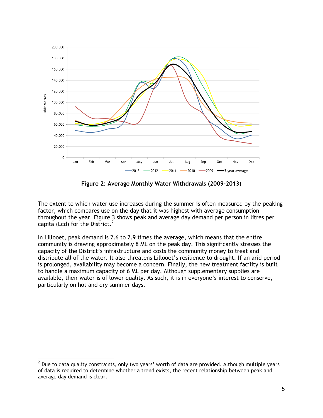

**Figure 2: Average Monthly Water Withdrawals (2009-2013)**

<span id="page-10-0"></span>The extent to which water use increases during the summer is often measured by the peaking factor, which compares use on the day that it was highest with average consumption throughout the year. Figure 3 shows peak and average day demand per person in litres per capita (Lcd) for the District. $2$ 

In Lillooet, peak demand is 2.6 to 2.9 times the average, which means that the entire community is drawing approximately 8 ML on the peak day. This significantly stresses the capacity of the District's infrastructure and costs the community money to treat and distribute all of the water. It also threatens Lillooet's resilience to drought. If an arid period is prolonged, availability may become a concern. Finally, the new treatment facility is built to handle a maximum capacity of 6 ML per day. Although supplementary supplies are available, their water is of lower quality. As such, it is in everyone's interest to conserve, particularly on hot and dry summer days.

 2 Due to data quality constraints, only two years' worth of data are provided. Although multiple years of data is required to determine whether a trend exists, the recent relationship between peak and average day demand is clear.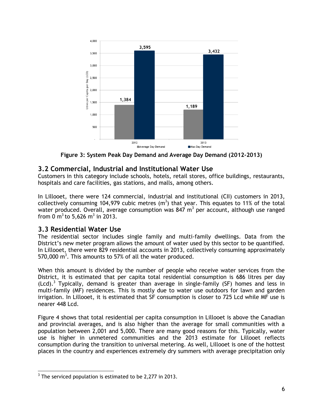

**Figure 3: System Peak Day Demand and Average Day Demand (2012-2013)**

# <span id="page-11-0"></span>**3.2 Commercial, Industrial and Institutional Water Use**

Customers in this category include schools, hotels, retail stores, office buildings, restaurants, hospitals and care facilities, gas stations, and malls, among others.

In Lillooet, there were 124 commercial, industrial and institutional (CII) customers in 2013, collectively consuming 104,979 cubic metres  $(m^3)$  that year. This equates to 11% of the total water produced. Overall, average consumption was 847 m<sup>3</sup> per account, although use ranged from 0 m<sup>3</sup> to 5,626 m<sup>3</sup> in 2013.

# **3.3 Residential Water Use**

The residential sector includes single family and multi-family dwellings. Data from the District's new meter program allows the amount of water used by this sector to be quantified. In Lillooet, there were 829 residential accounts in 2013, collectively consuming approximately 570,000  $m^3$ . This amounts to 57% of all the water produced.

When this amount is divided by the number of people who receive water services from the District, it is estimated that per capita total residential consumption is 686 litres per day  $(Lcd).$ <sup>3</sup> Typically, demand is greater than average in single-family (SF) homes and less in multi-family (MF) residences. This is mostly due to water use outdoors for lawn and garden irrigation. In Lillooet, it is estimated that SF consumption is closer to 725 Lcd while MF use is nearer 448 Lcd.

Figure 4 shows that total residential per capita consumption in Lillooet is above the Canadian and provincial averages, and is also higher than the average for small communities with a population between 2,001 and 5,000. There are many good reasons for this. Typically, water use is higher in unmetered communities and the 2013 estimate for Lillooet reflects consumption during the transition to universal metering. As well, Lillooet is one of the hottest places in the country and experiences extremely dry summers with average precipitation only

  $3$  The serviced population is estimated to be 2,277 in 2013.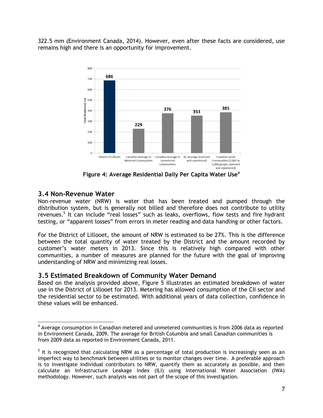322.5 mm (Environment Canada, 2014). However, even after these facts are considered, use remains high and there is an opportunity for improvement.



**Figure 4: Average Residential Daily Per Capita Water Use<sup>4</sup>**

# <span id="page-12-0"></span>**3.4 Non-Revenue Water**

Non-revenue water (NRW) is water that has been treated and pumped through the distribution system, but is generally not billed and therefore does not contribute to utility revenues.<sup>5</sup> It can include "real losses" such as leaks, overflows, flow tests and fire hydrant testing, or "apparent losses" from errors in meter reading and data handling or other factors.

For the District of Lillooet, the amount of NRW is estimated to be 27%. This is the difference between the total quantity of water treated by the District and the amount recorded by customer's water meters in 2013. Since this is relatively high compared with other communities, a number of measures are planned for the future with the goal of improving understanding of NRW and minimizing real losses.

#### **3.5 Estimated Breakdown of Community Water Demand**

Based on the analysis provided above, Figure 5 illustrates an estimated breakdown of water use in the District of Lillooet for 2013. Metering has allowed consumption of the CII sector and the residential sector to be estimated. With additional years of data collection, confidence in these values will be enhanced.

  $<sup>4</sup>$  Average consumption in Canadian metered and unmetered communities is from 2006 data as reported</sup> in Environment Canada, 2009. The average for British Columbia and small Canadian communities is from 2009 data as reported in Environment Canada, 2011.

<sup>&</sup>lt;sup>5</sup> It is recognized that calculating NRW as a percentage of total production is increasingly seen as an imperfect way to benchmark between utilities or to monitor changes over time. A preferable approach is to investigate individual contributors to NRW, quantify them as accurately as possible, and then calculate an Infrastructure Leakage Index (ILI) using International Water Association (IWA) methodology. However, such analysis was not part of the scope of this investigation.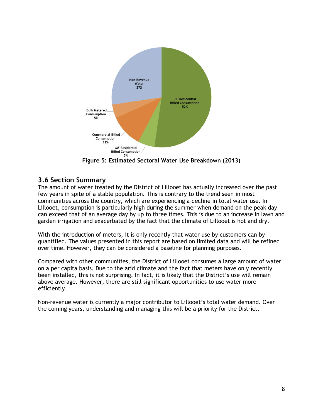

**Figure 5: Estimated Sectoral Water Use Breakdown (2013)**

# <span id="page-13-0"></span>**3.6 Section Summary**

The amount of water treated by the District of Lillooet has actually increased over the past few years in spite of a stable population. This is contrary to the trend seen in most communities across the country, which are experiencing a decline in total water use. In Lillooet, consumption is particularly high during the summer when demand on the peak day can exceed that of an average day by up to three times. This is due to an increase in lawn and garden irrigation and exacerbated by the fact that the climate of Lillooet is hot and dry.

With the introduction of meters, it is only recently that water use by customers can by quantified. The values presented in this report are based on limited data and will be refined over time. However, they can be considered a baseline for planning purposes.

Compared with other communities, the District of Lillooet consumes a large amount of water on a per capita basis. Due to the arid climate and the fact that meters have only recently been installed, this is not surprising. In fact, it is likely that the District's use will remain above average. However, there are still significant opportunities to use water more efficiently.

Non-revenue water is currently a major contributor to Lillooet's total water demand. Over the coming years, understanding and managing this will be a priority for the District.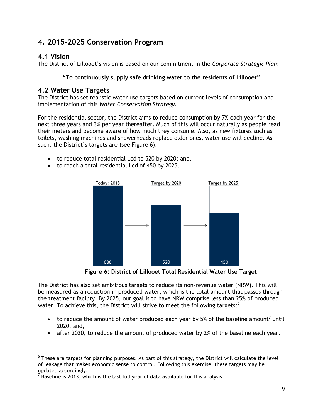# <span id="page-14-0"></span>**4. 2015-2025 Conservation Program**

# **4.1 Vision**

The District of Lillooet's vision is based on our commitment in the *Corporate Strategic Plan*:

#### **"To continuously supply safe drinking water to the residents of Lillooet"**

## **4.2 Water Use Targets**

The District has set realistic water use targets based on current levels of consumption and implementation of this *Water Conservation Strategy*.

For the residential sector, the District aims to reduce consumption by 7% each year for the next three years and 3% per year thereafter. Much of this will occur naturally as people read their meters and become aware of how much they consume. Also, as new fixtures such as toilets, washing machines and showerheads replace older ones, water use will decline. As such, the District's targets are (see Figure 6):

- to reduce total residential Lcd to 520 by 2020; and,
- to reach a total residential Lcd of 450 by 2025.



**Figure 6: District of Lillooet Total Residential Water Use Target**

<span id="page-14-1"></span>The District has also set ambitious targets to reduce its non-revenue water (NRW). This will be measured as a reduction in produced water, which is the total amount that passes through the treatment facility. By 2025, our goal is to have NRW comprise less than 25% of produced water. To achieve this, the District will strive to meet the following targets:<sup>6</sup>

- to reduce the amount of water produced each year by 5% of the baseline amount<sup>7</sup> until 2020; and,
- after 2020, to reduce the amount of produced water by 2% of the baseline each year.

  $^6$  These are targets for planning purposes. As part of this strategy, the District will calculate the level of leakage that makes economic sense to control. Following this exercise, these targets may be updated accordingly.<br><sup>7</sup> Baseline is 2013, which is the last full year of data available for this analysis.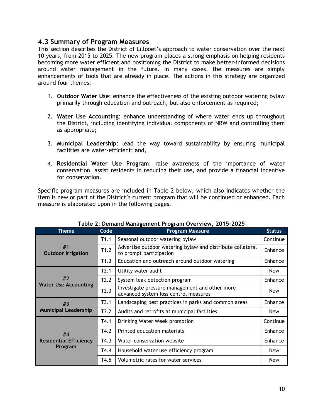#### **4.3 Summary of Program Measures**

This section describes the District of Lillooet's approach to water conservation over the next 10 years, from 2015 to 2025. The new program places a strong emphasis on helping residents becoming more water efficient and positioning the District to make better-informed decisions around water management in the future. In many cases, the measures are simply enhancements of tools that are already in place. The actions in this strategy are organized around four themes:

- 1. **Outdoor Water Use**: enhance the effectiveness of the existing outdoor watering bylaw primarily through education and outreach, but also enforcement as required;
- 2. **Water Use Accounting**: enhance understanding of where water ends up throughout the District, including identifying individual components of NRW and controlling them as appropriate;
- 3. **Municipal Leadership**: lead the way toward sustainability by ensuring municipal facilities are water-efficient; and,
- 4. **Residential Water Use Program**: raise awareness of the importance of water conservation, assist residents in reducing their use, and provide a financial incentive for conservation.

Specific program measures are included in Table 2 below, which also indicates whether the item is new or part of the District's current program that will be continued or enhanced. Each measure is elaborated upon in the following pages.

<span id="page-15-0"></span>

| <b>Theme</b>                    | Code | <b>Program Measure</b>                                                                  | <b>Status</b> |
|---------------------------------|------|-----------------------------------------------------------------------------------------|---------------|
|                                 | T1.1 | Seasonal outdoor watering bylaw                                                         | Continue      |
| #1<br><b>Outdoor Irrigation</b> | T1.2 | Advertise outdoor watering bylaw and distribute collateral<br>to prompt participation   | Enhance       |
|                                 | T1.3 | Education and outreach around outdoor watering                                          | Enhance       |
|                                 | T2.1 | Utility water audit                                                                     | <b>New</b>    |
| #2                              | T2.2 | System leak detection program                                                           | Enhance       |
| <b>Water Use Accounting</b>     | T2.3 | Investigate pressure management and other more<br>advanced system loss control measures | <b>New</b>    |
| #3                              | T3.1 | Landscaping best practices in parks and common areas                                    | Enhance       |
| <b>Municipal Leadership</b>     | T3.2 | Audits and retrofits at municipal facilities                                            | <b>New</b>    |
|                                 | T4.1 | Drinking Water Week promotion                                                           | Continue      |
| #4                              | T4.2 | Printed education materials                                                             | Enhance       |
| <b>Residential Efficiency</b>   | T4.3 | Water conservation website                                                              | Enhance       |
| Program                         | T4.4 | Household water use efficiency program                                                  | <b>New</b>    |
|                                 | T4.5 | Volumetric rates for water services                                                     | <b>New</b>    |

#### **Table 2: Demand Management Program Overview, 2015-2025**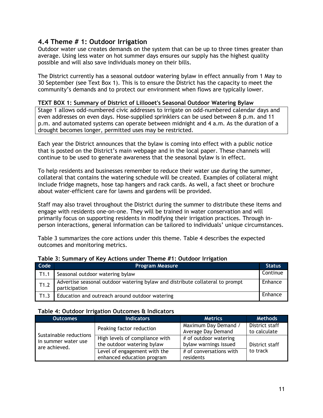#### **4.4 Theme # 1: Outdoor Irrigation**

Outdoor water use creates demands on the system that can be up to three times greater than average. Using less water on hot summer days ensures our supply has the highest quality possible and will also save individuals money on their bills.

The District currently has a seasonal outdoor watering bylaw in effect annually from 1 May to 30 September (see Text Box 1). This is to ensure the District has the capacity to meet the community's demands and to protect our environment when flows are typically lower.

#### **TEXT BOX 1: Summary of District of Lillooet's Seasonal Outdoor Watering Bylaw**

Stage 1 allows odd-numbered civic addresses to irrigate on odd-numbered calendar days and even addresses on even days. Hose-supplied sprinklers can be used between 8 p.m. and 11 p.m. and automated systems can operate between midnight and 4 a.m. As the duration of a drought becomes longer, permitted uses may be restricted.

Each year the District announces that the bylaw is coming into effect with a public notice that is posted on the District's main webpage and in the local paper. These channels will continue to be used to generate awareness that the seasonal bylaw is in effect.

To help residents and businesses remember to reduce their water use during the summer, collateral that contains the watering schedule will be created. Examples of collateral might include fridge magnets, hose tap hangers and rack cards. As well, a fact sheet or brochure about water-efficient care for lawns and gardens will be provided.

Staff may also travel throughout the District during the summer to distribute these items and engage with residents one-on-one. They will be trained in water conservation and will primarily focus on supporting residents in modifying their irrigation practices. Through inperson interactions, general information can be tailored to individuals' unique circumstances.

Table 3 summarizes the core actions under this theme. Table 4 describes the expected outcomes and monitoring metrics.

| Code | <b>Program Measure</b>                                                                         | <b>Status</b> |
|------|------------------------------------------------------------------------------------------------|---------------|
| T1.1 | Seasonal outdoor watering bylaw                                                                | Continue      |
| T1.2 | Advertise seasonal outdoor watering bylaw and distribute collateral to prompt<br>participation | Enhance       |
| T1.3 | Education and outreach around outdoor watering                                                 | Enhance       |

#### <span id="page-16-0"></span>**Table 3: Summary of Key Actions under Theme #1: Outdoor Irrigation**

#### <span id="page-16-1"></span>**Table 4: Outdoor Irrigation Outcomes & Indicators**

| <b>Outcomes</b>                                                | <b>Indicators</b>                                            | <b>Metrics</b>                                 | <b>Methods</b>                 |
|----------------------------------------------------------------|--------------------------------------------------------------|------------------------------------------------|--------------------------------|
|                                                                | Peaking factor reduction                                     | Maximum Day Demand /<br>Average Day Demand     | District staff<br>to calculate |
| Sustainable reductions<br>in summer water use<br>are achieved. | High levels of compliance with<br>the outdoor watering bylaw | # of outdoor watering<br>bylaw warnings issued | District staff                 |
|                                                                | Level of engagement with the<br>enhanced education program   | # of conversations with<br>residents           | to track                       |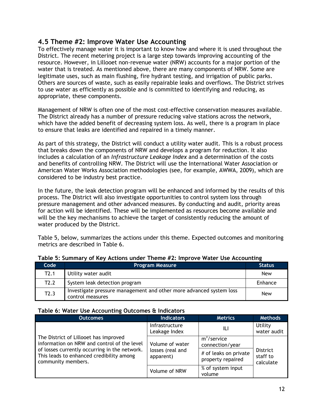#### **4.5 Theme #2: Improve Water Use Accounting**

To effectively manage water it is important to know how and where it is used throughout the District. The recent metering project is a large step towards improving accounting of the resource. However, in Lillooet non-revenue water (NRW) accounts for a major portion of the water that is treated. As mentioned above, there are many components of NRW. Some are legitimate uses, such as main flushing, fire hydrant testing, and irrigation of public parks. Others are sources of waste, such as easily repairable leaks and overflows. The District strives to use water as efficiently as possible and is committed to identifying and reducing, as appropriate, these components.

Management of NRW is often one of the most cost-effective conservation measures available. The District already has a number of pressure reducing valve stations across the network, which have the added benefit of decreasing system loss. As well, there is a program in place to ensure that leaks are identified and repaired in a timely manner.

As part of this strategy, the District will conduct a utility water audit. This is a robust process that breaks down the components of NRW and develops a program for reduction. It also includes a calculation of an *Infrastructure Leakage Index* and a determination of the costs and benefits of controlling NRW. The District will use the International Water Association or American Water Works Association methodologies (see, for example, AWWA, 2009), which are considered to be industry best practice.

In the future, the leak detection program will be enhanced and informed by the results of this process. The District will also investigate opportunities to control system loss through pressure management and other advanced measures. By conducting and audit, priority areas for action will be identified. These will be implemented as resources become available and will be the key mechanisms to achieve the target of consistently reducing the amount of water produced by the District.

Table 5, below, summarizes the actions under this theme. Expected outcomes and monitoring metrics are described in Table 6.

| Code | <b>Program Measure</b>                                                                  | <b>Status</b> |  |
|------|-----------------------------------------------------------------------------------------|---------------|--|
| T2.1 | Utility water audit                                                                     | New           |  |
| T2.2 | System leak detection program                                                           | Enhance       |  |
| T2.3 | Investigate pressure management and other more advanced system loss<br>control measures | New           |  |

#### <span id="page-17-0"></span>**Table 5: Summary of Key Actions under Theme #2: Improve Water Use Accounting**

#### <span id="page-17-1"></span>**Table 6: Water Use Accounting Outcomes & Indicators**

| <b>Outcomes</b>                                                                                                                                                                   | <b>Indicators</b>                                | <b>Metrics</b>                                            | <b>Methods</b>              |
|-----------------------------------------------------------------------------------------------------------------------------------------------------------------------------------|--------------------------------------------------|-----------------------------------------------------------|-----------------------------|
|                                                                                                                                                                                   | Infrastructure<br>Leakage Index                  | ILI                                                       | Utility<br>water audit      |
| The District of Lillooet has improved<br>information on NRW and control of the level<br>of losses currently occurring in the network.<br>This leads to enhanced credibility among | Volume of water<br>losses (real and<br>apparent) | $m3/$ service<br>connection/year<br># of leaks on private | <b>District</b><br>staff to |
| community members.                                                                                                                                                                |                                                  | property repaired<br>% of system input                    | calculate                   |
|                                                                                                                                                                                   | Volume of NRW                                    | volume                                                    |                             |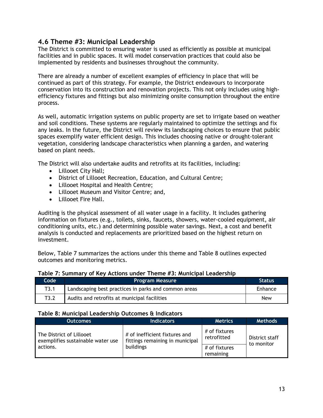# **4.6 Theme #3: Municipal Leadership**

The District is committed to ensuring water is used as efficiently as possible at municipal facilities and in public spaces. It will model conservation practices that could also be implemented by residents and businesses throughout the community.

There are already a number of excellent examples of efficiency in place that will be continued as part of this strategy. For example, the District endeavours to incorporate conservation into its construction and renovation projects. This not only includes using highefficiency fixtures and fittings but also minimizing onsite consumption throughout the entire process.

As well, automatic irrigation systems on public property are set to irrigate based on weather and soil conditions. These systems are regularly maintained to optimize the settings and fix any leaks. In the future, the District will review its landscaping choices to ensure that public spaces exemplify water efficient design. This includes choosing native or drought-tolerant vegetation, considering landscape characteristics when planning a garden, and watering based on plant needs.

The District will also undertake audits and retrofits at its facilities, including:

- Lillooet City Hall;
- District of Lillooet Recreation, Education, and Cultural Centre;
- Lillooet Hospital and Health Centre;
- Lillooet Museum and Visitor Centre; and,
- Lillooet Fire Hall.

Auditing is the physical assessment of all water usage in a facility. It includes gathering information on fixtures (e.g., toilets, sinks, faucets, showers, water-cooled equipment, air conditioning units, etc.) and determining possible water savings. Next, a cost and benefit analysis is conducted and replacements are prioritized based on the highest return on investment.

Below, Table 7 summarizes the actions under this theme and Table 8 outlines expected outcomes and monitoring metrics.

| Code | <b>Program Measure</b>                               | <b>Status</b> |
|------|------------------------------------------------------|---------------|
| T3.1 | Landscaping best practices in parks and common areas | Enhance       |
| T3.2 | Audits and retrofits at municipal facilities         | <b>New</b>    |

#### <span id="page-18-0"></span>**Table 7: Summary of Key Actions under Theme #3: Municipal Leadership**

#### <span id="page-18-1"></span>**Table 8: Municipal Leadership Outcomes & Indicators**

| <b>Outcomes</b>                                               | <b>Indicators</b>                                                | <b>Metrics</b>               | <b>Methods</b>               |
|---------------------------------------------------------------|------------------------------------------------------------------|------------------------------|------------------------------|
| The District of Lillooet<br>exemplifies sustainable water use | # of inefficient fixtures and<br>fittings remaining in municipal | # of fixtures<br>retrofitted | District staff<br>to monitor |
| actions.                                                      | buildings                                                        | # of fixtures                |                              |
|                                                               |                                                                  | remaining                    |                              |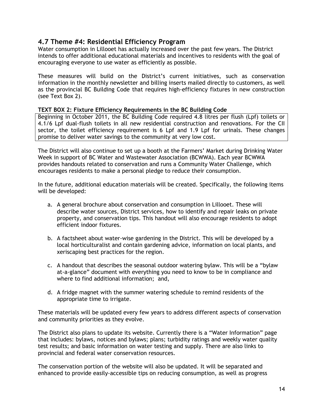#### **4.7 Theme #4: Residential Efficiency Program**

Water consumption in Lillooet has actually increased over the past few years. The District intends to offer additional educational materials and incentives to residents with the goal of encouraging everyone to use water as efficiently as possible.

These measures will build on the District's current initiatives, such as conservation information in the monthly newsletter and billing inserts mailed directly to customers, as well as the provincial BC Building Code that requires high-efficiency fixtures in new construction (see Text Box 2).

#### **TEXT BOX 2: Fixture Efficiency Requirements in the BC Building Code**

Beginning in October 2011, the BC Building Code required 4.8 litres per flush (Lpf) toilets or 4.1/6 Lpf dual-flush toilets in all new residential construction and renovations. For the CII sector, the toilet efficiency requirement is 6 Lpf and 1.9 Lpf for urinals. These changes promise to deliver water savings to the community at very low cost.

The District will also continue to set up a booth at the Farmers' Market during Drinking Water Week in support of BC Water and Wastewater Association (BCWWA). Each year BCWWA provides handouts related to conservation and runs a Community Water Challenge, which encourages residents to make a personal pledge to reduce their consumption.

In the future, additional education materials will be created. Specifically, the following items will be developed:

- a. A general brochure about conservation and consumption in Lillooet. These will describe water sources, District services, how to identify and repair leaks on private property, and conservation tips. This handout will also encourage residents to adopt efficient indoor fixtures.
- b. A factsheet about water-wise gardening in the District. This will be developed by a local horticulturalist and contain gardening advice, information on local plants, and xeriscaping best practices for the region.
- c. A handout that describes the seasonal outdoor watering bylaw. This will be a "bylaw at-a-glance" document with everything you need to know to be in compliance and where to find additional information; and,
- d. A fridge magnet with the summer watering schedule to remind residents of the appropriate time to irrigate.

These materials will be updated every few years to address different aspects of conservation and community priorities as they evolve.

The District also plans to update its website. Currently there is a "Water Information" page that includes: bylaws, notices and bylaws; plans; turbidity ratings and weekly water quality test results; and basic information on water testing and supply. There are also links to provincial and federal water conservation resources.

The conservation portion of the website will also be updated. It will be separated and enhanced to provide easily-accessible tips on reducing consumption, as well as progress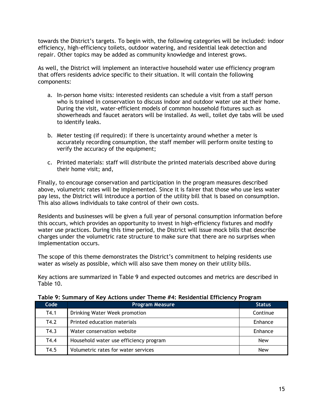towards the District's targets. To begin with, the following categories will be included: indoor efficiency, high-efficiency toilets, outdoor watering, and residential leak detection and repair. Other topics may be added as community knowledge and interest grows.

As well, the District will implement an interactive household water use efficiency program that offers residents advice specific to their situation. It will contain the following components:

- a. In-person home visits: interested residents can schedule a visit from a staff person who is trained in conservation to discuss indoor and outdoor water use at their home. During the visit, water-efficient models of common household fixtures such as showerheads and faucet aerators will be installed. As well, toilet dye tabs will be used to identify leaks.
- b. Meter testing (if required): if there is uncertainty around whether a meter is accurately recording consumption, the staff member will perform onsite testing to verify the accuracy of the equipment;
- c. Printed materials: staff will distribute the printed materials described above during their home visit; and,

Finally, to encourage conservation and participation in the program measures described above, volumetric rates will be implemented. Since it is fairer that those who use less water pay less, the District will introduce a portion of the utility bill that is based on consumption. This also allows individuals to take control of their own costs.

Residents and businesses will be given a full year of personal consumption information before this occurs, which provides an opportunity to invest in high-efficiency fixtures and modify water use practices. During this time period, the District will issue mock bills that describe charges under the volumetric rate structure to make sure that there are no surprises when implementation occurs.

The scope of this theme demonstrates the District's commitment to helping residents use water as wisely as possible, which will also save them money on their utility bills.

Key actions are summarized in Table 9 and expected outcomes and metrics are described in Table 10.

| Code | <b>Program Measure</b>                 | <b>Status</b> |
|------|----------------------------------------|---------------|
| T4.1 | Drinking Water Week promotion          | Continue      |
| T4.2 | Printed education materials            | Enhance       |
| T4.3 | Water conservation website             | Enhance       |
| T4.4 | Household water use efficiency program | <b>New</b>    |
| T4.5 | Volumetric rates for water services    | <b>New</b>    |

#### <span id="page-20-0"></span>**Table 9: Summary of Key Actions under Theme #4: Residential Efficiency Program**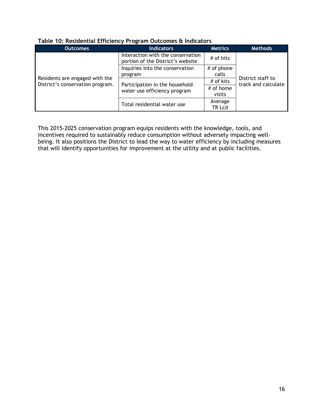| <b>Outcomes</b>                                                    | <b>Indicators</b>                                                      | <b>Metrics</b>      | <b>Methods</b>                           |
|--------------------------------------------------------------------|------------------------------------------------------------------------|---------------------|------------------------------------------|
| Residents are engaged with the<br>District's conservation program. | Interaction with the conservation<br>portion of the District's website | # of hits           |                                          |
|                                                                    | Inquiries into the conservation                                        | # of phone          |                                          |
|                                                                    | program                                                                | calls               |                                          |
|                                                                    |                                                                        | # of kits           | District staff to<br>track and calculate |
|                                                                    | Participation in the household<br>water use efficiency program         | # of home<br>visits |                                          |
|                                                                    | Total residential water use                                            | Average<br>TR Lcd   |                                          |

#### <span id="page-21-0"></span>**Table 10: Residential Efficiency Program Outcomes & Indicators**

This 2015-2025 conservation program equips residents with the knowledge, tools, and incentives required to sustainably reduce consumption without adversely impacting wellbeing. It also positions the District to lead the way to water efficiency by including measures that will identify opportunities for improvement at the utility and at public facilities.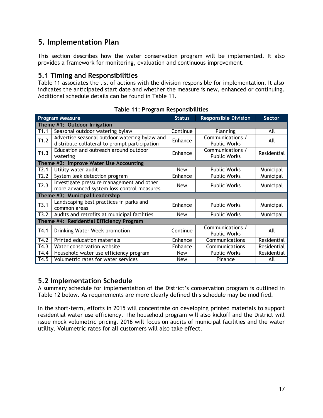# <span id="page-22-0"></span>**5. Implementation Plan**

This section describes how the water conservation program will be implemented. It also provides a framework for monitoring, evaluation and continuous improvement.

#### **5.1 Timing and Responsibilities**

Table 11 associates the list of actions with the division responsible for implementation. It also indicates the anticipated start date and whether the measure is new, enhanced or continuing. Additional schedule details can be found in Table 11.

<span id="page-22-1"></span>

| <b>Program Measure</b>                   |                                                                                                | <b>Status</b> | <b>Responsible Division</b>             | <b>Sector</b> |  |  |  |  |
|------------------------------------------|------------------------------------------------------------------------------------------------|---------------|-----------------------------------------|---------------|--|--|--|--|
| Theme #1: Outdoor Irrigation             |                                                                                                |               |                                         |               |  |  |  |  |
| T1.1                                     | Seasonal outdoor watering bylaw                                                                | Continue      | Planning                                | All           |  |  |  |  |
| T1.2                                     | Advertise seasonal outdoor watering bylaw and<br>distribute collateral to prompt participation | Enhance       | Communications /<br><b>Public Works</b> | All           |  |  |  |  |
| T1.3                                     | Education and outreach around outdoor<br>watering                                              | Enhance       | Communications /<br><b>Public Works</b> | Residential   |  |  |  |  |
|                                          | Theme #2: Improve Water Use Accounting                                                         |               |                                         |               |  |  |  |  |
| T2.1                                     | Utility water audit                                                                            | <b>New</b>    | <b>Public Works</b>                     | Municipal     |  |  |  |  |
| T2.2                                     | System leak detection program                                                                  | Enhance       | <b>Public Works</b>                     | Municipal     |  |  |  |  |
| T2.3                                     | Investigate pressure management and other<br>more advanced system loss control measures        | <b>New</b>    | <b>Public Works</b>                     | Municipal     |  |  |  |  |
| Theme #3: Municipal Leadership           |                                                                                                |               |                                         |               |  |  |  |  |
| T3.1                                     | Landscaping best practices in parks and<br>common areas                                        | Enhance       | <b>Public Works</b>                     | Municipal     |  |  |  |  |
| T3.2                                     | Audits and retrofits at municipal facilities                                                   | <b>New</b>    | <b>Public Works</b>                     | Municipal     |  |  |  |  |
| Theme #4: Residential Efficiency Program |                                                                                                |               |                                         |               |  |  |  |  |
| T4.1                                     | Drinking Water Week promotion                                                                  | Continue      | Communications /<br><b>Public Works</b> | All           |  |  |  |  |
| T4.2                                     | Printed education materials                                                                    | Enhance       | Communications                          | Residential   |  |  |  |  |
| T4.3                                     | Water conservation website                                                                     | Enhance       | Communications                          | Residential   |  |  |  |  |
| T4.4                                     | Household water use efficiency program                                                         | <b>New</b>    | <b>Public Works</b>                     | Residential   |  |  |  |  |
| T4.5                                     | Volumetric rates for water services                                                            | <b>New</b>    | Finance                                 | All           |  |  |  |  |

**Table 11: Program Responsibilities**

# **5.2 Implementation Schedule**

A summary schedule for implementation of the District's conservation program is outlined in Table 12 below. As requirements are more clearly defined this schedule may be modified.

In the short-term, efforts in 2015 will concentrate on developing printed materials to support residential water use efficiency. The household program will also kickoff and the District will issue mock volumetric pricing. 2016 will focus on audits of municipal facilities and the water utility. Volumetric rates for all customers will also take effect.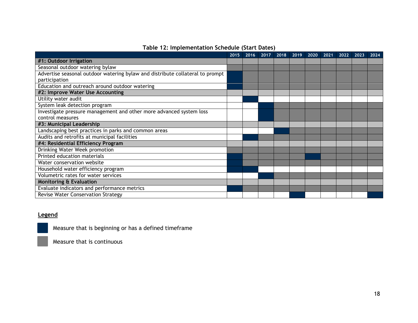|                                                                               | 2015 | 2016 | 2017 | 2018 | 2019 | 2020 | 2021 | 2022 | 2023 | 2024 |
|-------------------------------------------------------------------------------|------|------|------|------|------|------|------|------|------|------|
| #1: Outdoor Irrigation                                                        |      |      |      |      |      |      |      |      |      |      |
| Seasonal outdoor watering bylaw                                               |      |      |      |      |      |      |      |      |      |      |
| Advertise seasonal outdoor watering bylaw and distribute collateral to prompt |      |      |      |      |      |      |      |      |      |      |
| participation                                                                 |      |      |      |      |      |      |      |      |      |      |
| Education and outreach around outdoor watering                                |      |      |      |      |      |      |      |      |      |      |
| #2: Improve Water Use Accounting                                              |      |      |      |      |      |      |      |      |      |      |
| Utility water audit                                                           |      |      |      |      |      |      |      |      |      |      |
| System leak detection program                                                 |      |      |      |      |      |      |      |      |      |      |
| Investigate pressure management and other more advanced system loss           |      |      |      |      |      |      |      |      |      |      |
| control measures                                                              |      |      |      |      |      |      |      |      |      |      |
| #3: Municipal Leadership                                                      |      |      |      |      |      |      |      |      |      |      |
| Landscaping best practices in parks and common areas                          |      |      |      |      |      |      |      |      |      |      |
| Audits and retrofits at municipal facilities                                  |      |      |      |      |      |      |      |      |      |      |
| #4: Residential Efficiency Program                                            |      |      |      |      |      |      |      |      |      |      |
| Drinking Water Week promotion                                                 |      |      |      |      |      |      |      |      |      |      |
| Printed education materials                                                   |      |      |      |      |      |      |      |      |      |      |
| Water conservation website                                                    |      |      |      |      |      |      |      |      |      |      |
| Household water efficiency program                                            |      |      |      |      |      |      |      |      |      |      |
| Volumetric rates for water services                                           |      |      |      |      |      |      |      |      |      |      |
| <b>Monitoring &amp; Evaluation</b>                                            |      |      |      |      |      |      |      |      |      |      |
| Evaluate indicators and performance metrics                                   |      |      |      |      |      |      |      |      |      |      |
| <b>Revise Water Conservation Strategy</b>                                     |      |      |      |      |      |      |      |      |      |      |

#### <span id="page-23-0"></span>**Legend**

Measure that is beginning or has a defined timeframe

Measure that is continuous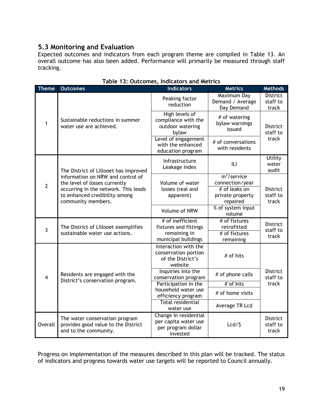# **5.3 Monitoring and Evaluation**

Expected outcomes and indicators from each program theme are compiled in Table 13. An overall outcome has also been added. Performance will primarily be measured through staff tracking.

<span id="page-24-0"></span>

| <b>Theme</b>   | <b>Outcomes</b>                                                                                                                                                   | <b>Indicators</b>                                                               | <b>Metrics</b>                                                                    | <b>Methods</b>                       |  |
|----------------|-------------------------------------------------------------------------------------------------------------------------------------------------------------------|---------------------------------------------------------------------------------|-----------------------------------------------------------------------------------|--------------------------------------|--|
| $\mathbf{1}$   |                                                                                                                                                                   | Peaking factor<br>reduction                                                     | Maximum Day<br>Demand / Average<br>Day Demand                                     | <b>District</b><br>staff to<br>track |  |
|                | Sustainable reductions in summer<br>water use are achieved.                                                                                                       | High levels of<br>compliance with the<br>outdoor watering<br>bylaw              | # of watering<br>bylaw warnings<br>issued                                         | <b>District</b><br>staff to          |  |
|                |                                                                                                                                                                   | Level of engagement<br>with the enhanced<br>education program                   | # of conversations<br>with residents                                              | track                                |  |
| $\overline{2}$ | The District of Lillooet has improved                                                                                                                             | Infrastructure<br>Leakage Index                                                 | ILI                                                                               | <b>Utility</b><br>water<br>audit     |  |
|                | information on NRW and control of<br>the level of losses currently<br>occurring in the network. This leads<br>to enhanced credibility among<br>community members. | Volume of water<br>losses (real and<br>apparent)                                | $m3/$ service<br>connection/year<br># of leaks on<br>private property<br>repaired | <b>District</b><br>staff to<br>track |  |
|                |                                                                                                                                                                   | Volume of NRW                                                                   | % of system input<br>volume                                                       |                                      |  |
|                | The District of Lillooet exemplifies<br>sustainable water use actions.                                                                                            | # of inefficient<br>fixtures and fittings                                       | # of fixtures<br>retrofitted                                                      | <b>District</b>                      |  |
| $\overline{3}$ |                                                                                                                                                                   | remaining in<br>municipal buildings                                             | # of fixtures<br>remaining                                                        | staff to<br>track                    |  |
| $\overline{4}$ |                                                                                                                                                                   | Interaction with the<br>conservation portion<br>of the District's<br>website    | # of hits                                                                         | <b>District</b><br>staff to          |  |
|                | Residents are engaged with the<br>District's conservation program.                                                                                                | Inquiries into the<br>conservation program                                      | # of phone calls                                                                  |                                      |  |
|                |                                                                                                                                                                   | Participation in the                                                            | $#$ of kits                                                                       | track                                |  |
|                |                                                                                                                                                                   | household water use<br>efficiency program                                       | # of home visits                                                                  |                                      |  |
|                |                                                                                                                                                                   | <b>Total residential</b><br>water use                                           | Average TR Lcd                                                                    |                                      |  |
| <b>Overall</b> | The water conservation program<br>provides good value to the District<br>and to the community.                                                                    | Change in residential<br>per capita water use<br>per program dollar<br>invested | $Lcd/$ \$                                                                         | <b>District</b><br>staff to<br>track |  |

#### **Table 13: Outcomes, Indicators and Metrics**

Progress on implementation of the measures described in this plan will be tracked. The status of indicators and progress towards water use targets will be reported to Council annually.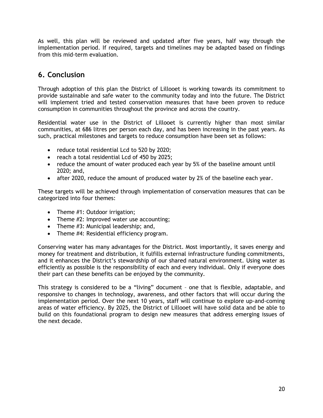As well, this plan will be reviewed and updated after five years, half way through the implementation period. If required, targets and timelines may be adapted based on findings from this mid-term evaluation.

# <span id="page-25-0"></span>**6. Conclusion**

Through adoption of this plan the District of Lillooet is working towards its commitment to provide sustainable and safe water to the community today and into the future. The District will implement tried and tested conservation measures that have been proven to reduce consumption in communities throughout the province and across the country.

Residential water use in the District of Lillooet is currently higher than most similar communities, at 686 litres per person each day, and has been increasing in the past years. As such, practical milestones and targets to reduce consumption have been set as follows:

- reduce total residential Lcd to 520 by 2020;
- reach a total residential Lcd of 450 by 2025;
- reduce the amount of water produced each year by 5% of the baseline amount until 2020; and,
- after 2020, reduce the amount of produced water by 2% of the baseline each year.

These targets will be achieved through implementation of conservation measures that can be categorized into four themes:

- Theme #1: Outdoor irrigation;
- Theme #2: Improved water use accounting;
- Theme #3: Municipal leadership; and,
- Theme #4: Residential efficiency program.

Conserving water has many advantages for the District. Most importantly, it saves energy and money for treatment and distribution, it fulfills external infrastructure funding commitments, and it enhances the District's stewardship of our shared natural environment. Using water as efficiently as possible is the responsibility of each and every individual. Only if everyone does their part can these benefits can be enjoyed by the community.

This strategy is considered to be a "living" document – one that is flexible, adaptable, and responsive to changes in technology, awareness, and other factors that will occur during the implementation period. Over the next 10 years, staff will continue to explore up-and-coming areas of water efficiency. By 2025, the District of Lillooet will have solid data and be able to build on this foundational program to design new measures that address emerging issues of the next decade.